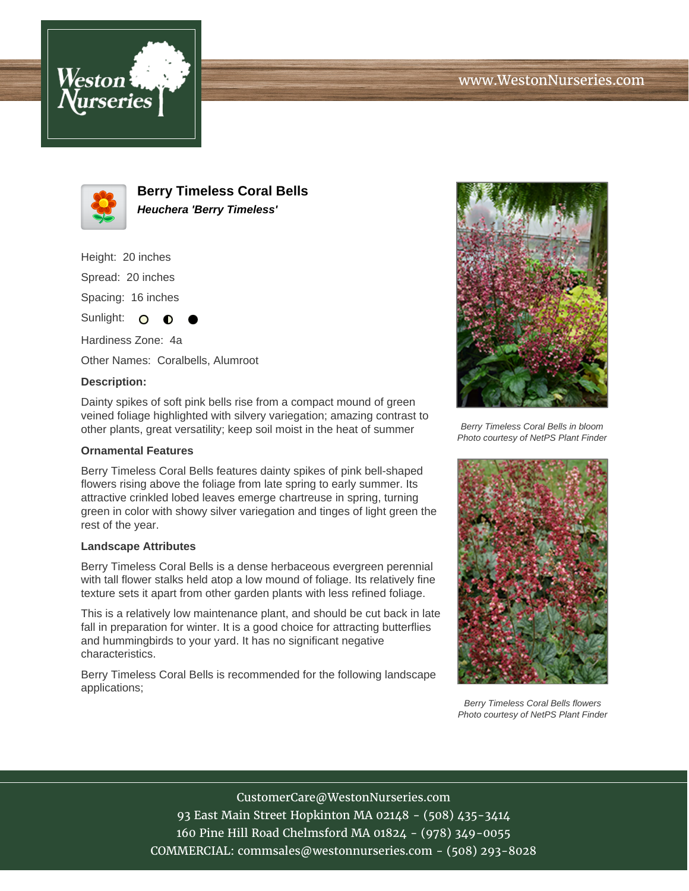



**Berry Timeless Coral Bells Heuchera 'Berry Timeless'**

Height: 20 inches Spread: 20 inches Spacing: 16 inches

Sunlight:  $\circ$ Hardiness Zone: 4a

Other Names: Coralbells, Alumroot

## **Description:**

Dainty spikes of soft pink bells rise from a compact mound of green veined foliage highlighted with silvery variegation; amazing contrast to other plants, great versatility; keep soil moist in the heat of summer

## **Ornamental Features**

Berry Timeless Coral Bells features dainty spikes of pink bell-shaped flowers rising above the foliage from late spring to early summer. Its attractive crinkled lobed leaves emerge chartreuse in spring, turning green in color with showy silver variegation and tinges of light green the rest of the year.

## **Landscape Attributes**

Berry Timeless Coral Bells is a dense herbaceous evergreen perennial with tall flower stalks held atop a low mound of foliage. Its relatively fine texture sets it apart from other garden plants with less refined foliage.

This is a relatively low maintenance plant, and should be cut back in late fall in preparation for winter. It is a good choice for attracting butterflies and hummingbirds to your yard. It has no significant negative characteristics.

Berry Timeless Coral Bells is recommended for the following landscape applications;



Berry Timeless Coral Bells in bloom Photo courtesy of NetPS Plant Finder



Berry Timeless Coral Bells flowers Photo courtesy of NetPS Plant Finder

CustomerCare@WestonNurseries.com 93 East Main Street Hopkinton MA 02148 - (508) 435-3414 160 Pine Hill Road Chelmsford MA 01824 - (978) 349-0055 COMMERCIAL: commsales@westonnurseries.com - (508) 293-8028